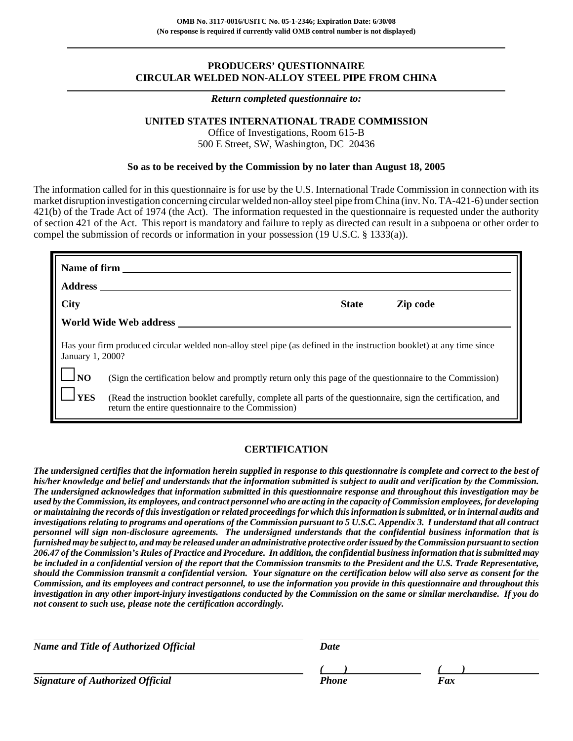# **PRODUCERS' QUESTIONNAIRE CIRCULAR WELDED NON-ALLOY STEEL PIPE FROM CHINA**

#### *Return completed questionnaire to:*

## **UNITED STATES INTERNATIONAL TRADE COMMISSION**

Office of Investigations, Room 615-B 500 E Street, SW, Washington, DC 20436

## **So as to be received by the Commission by no later than August 18, 2005**

The information called for in this questionnaire is for use by the U.S. International Trade Commission in connection with its market disruption investigation concerning circular welded non-alloy steel pipe from China (inv. No. TA-421-6) under section 421(b) of the Trade Act of 1974 (the Act). The information requested in the questionnaire is requested under the authority of section 421 of the Act. This report is mandatory and failure to reply as directed can result in a subpoena or other order to compel the submission of records or information in your possession (19 U.S.C. § 1333(a)).

| January 1, 2000?                 | Has your firm produced circular welded non-alloy steel pipe (as defined in the instruction booklet) at any time since                                               |
|----------------------------------|---------------------------------------------------------------------------------------------------------------------------------------------------------------------|
| $\lfloor \cdot \rfloor_{\rm NO}$ | (Sign the certification below and promptly return only this page of the questionnaire to the Commission)                                                            |
| $\perp$ YES                      | (Read the instruction booklet carefully, complete all parts of the questionnaire, sign the certification, and<br>return the entire questionnaire to the Commission) |

## **CERTIFICATION**

*The undersigned certifies that the information herein supplied in response to this questionnaire is complete and correct to the best of his/her knowledge and belief and understands that the information submitted is subject to audit and verification by the Commission. The undersigned acknowledges that information submitted in this questionnaire response and throughout this investigation may be used by the Commission, its employees, and contract personnel who are acting in the capacity of Commission employees, for developing or maintaining the records of this investigation or related proceedings for which this information is submitted, or in internal audits and investigations relating to programs and operations of the Commission pursuant to 5 U.S.C. Appendix 3. I understand that all contract personnel will sign non-disclosure agreements. The undersigned understands that the confidential business information that is furnished may be subject to, and may be released under an administrative protective order issued by the Commission pursuant to section 206.47 of the Commission's Rules of Practice and Procedure. In addition, the confidential business information that is submitted may be included in a confidential version of the report that the Commission transmits to the President and the U.S. Trade Representative, should the Commission transmit a confidential version. Your signature on the certification below will also serve as consent for the Commission, and its employees and contract personnel, to use the information you provide in this questionnaire and throughout this investigation in any other import-injury investigations conducted by the Commission on the same or similar merchandise. If you do not consent to such use, please note the certification accordingly.*

| <b>Name and Title of Authorized Official</b> | Date  |     |
|----------------------------------------------|-------|-----|
|                                              |       |     |
| <b>Signature of Authorized Official</b>      | Phone | Fax |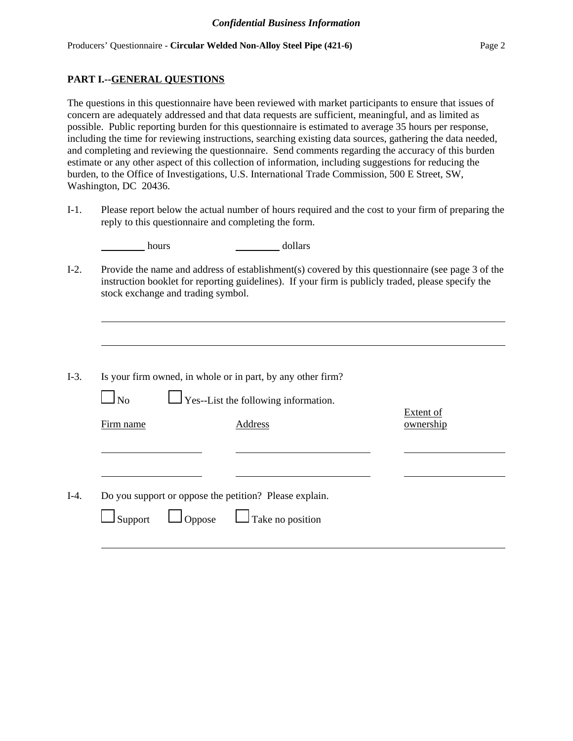# **PART I.--GENERAL QUESTIONS**

The questions in this questionnaire have been reviewed with market participants to ensure that issues of concern are adequately addressed and that data requests are sufficient, meaningful, and as limited as possible. Public reporting burden for this questionnaire is estimated to average 35 hours per response, including the time for reviewing instructions, searching existing data sources, gathering the data needed, and completing and reviewing the questionnaire. Send comments regarding the accuracy of this burden estimate or any other aspect of this collection of information, including suggestions for reducing the burden, to the Office of Investigations, U.S. International Trade Commission, 500 E Street, SW, Washington, DC 20436.

I-1. Please report below the actual number of hours required and the cost to your firm of preparing the reply to this questionnaire and completing the form.

| hours | dollars |
|-------|---------|
|       |         |

I-2. Provide the name and address of establishment(s) covered by this questionnaire (see page 3 of the instruction booklet for reporting guidelines). If your firm is publicly traded, please specify the stock exchange and trading symbol.

| $I-3$ . |  |  |  |  | Is your firm owned, in whole or in part, by any other firm? |
|---------|--|--|--|--|-------------------------------------------------------------|
|---------|--|--|--|--|-------------------------------------------------------------|

| $\Box$ No<br>$\Box$ Yes--List the following information. |  |
|----------------------------------------------------------|--|
|----------------------------------------------------------|--|

Firm name Address and Address ownership

Extent of

I-4. Do you support or oppose the petition? Please explain.

|  | $\Box$ Support |  | $\Box$ Oppose |  | $\Box$ Take no position |
|--|----------------|--|---------------|--|-------------------------|
|--|----------------|--|---------------|--|-------------------------|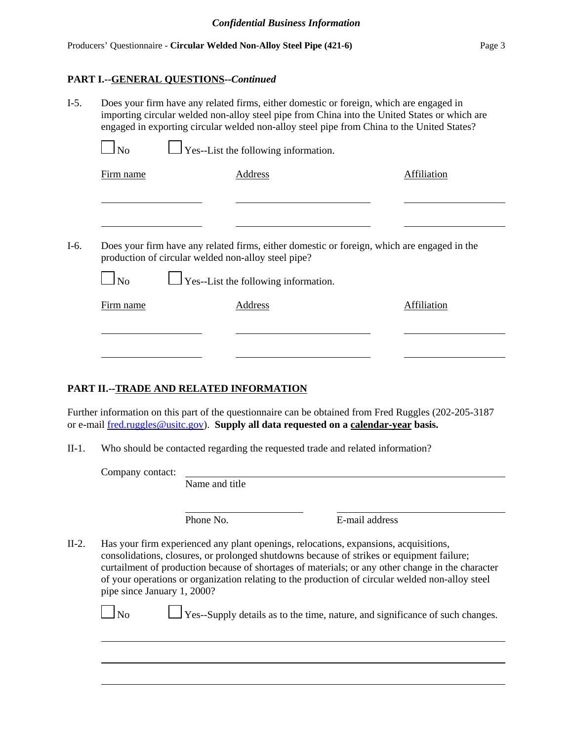# **PART I.--GENERAL QUESTIONS--***Continued*

| $I-5.$ | Does your firm have any related firms, either domestic or foreign, which are engaged in<br>importing circular welded non-alloy steel pipe from China into the United States or which are<br>engaged in exporting circular welded non-alloy steel pipe from China to the United States? |                                                                                                                                                    |                    |  |  |
|--------|----------------------------------------------------------------------------------------------------------------------------------------------------------------------------------------------------------------------------------------------------------------------------------------|----------------------------------------------------------------------------------------------------------------------------------------------------|--------------------|--|--|
|        | $\Box$ No                                                                                                                                                                                                                                                                              | $\Box$ Yes--List the following information.                                                                                                        |                    |  |  |
|        | Firm name                                                                                                                                                                                                                                                                              | Address                                                                                                                                            | Affiliation        |  |  |
|        |                                                                                                                                                                                                                                                                                        |                                                                                                                                                    |                    |  |  |
| $I-6.$ |                                                                                                                                                                                                                                                                                        | Does your firm have any related firms, either domestic or foreign, which are engaged in the<br>production of circular welded non-alloy steel pipe? |                    |  |  |
|        | $\Box$ No                                                                                                                                                                                                                                                                              | $\Box$ Yes--List the following information.                                                                                                        |                    |  |  |
|        | Firm name                                                                                                                                                                                                                                                                              | <b>Address</b>                                                                                                                                     | <b>Affiliation</b> |  |  |
|        |                                                                                                                                                                                                                                                                                        |                                                                                                                                                    |                    |  |  |
|        |                                                                                                                                                                                                                                                                                        |                                                                                                                                                    |                    |  |  |

# **PART II.--TRADE AND RELATED INFORMATION**

Further information on this part of the questionnaire can be obtained from Fred Ruggles (202-205-3187 or e-mail fred.ruggles@usitc.gov). **Supply all data requested on a calendar-year basis.**

II-1. Who should be contacted regarding the requested trade and related information?

Company contact:

Name and title

Phone No. **E-mail address** 

II-2. Has your firm experienced any plant openings, relocations, expansions, acquisitions, consolidations, closures, or prolonged shutdowns because of strikes or equipment failure; curtailment of production because of shortages of materials; or any other change in the character of your operations or organization relating to the production of circular welded non-alloy steel pipe since January 1, 2000?

 $\Box$  No  $\Box$  Yes--Supply details as to the time, nature, and significance of such changes.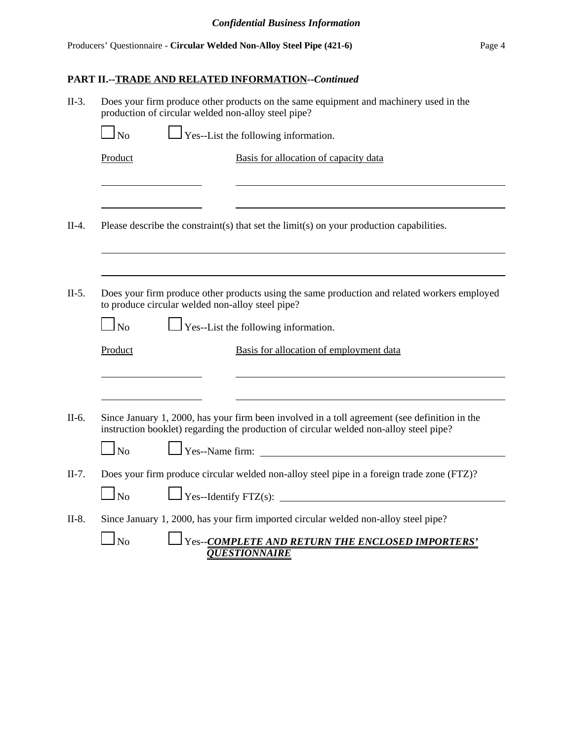# **PART II.--TRADE AND RELATED INFORMATION--***Continued*

| $II-3.$ | Does your firm produce other products on the same equipment and machinery used in the<br>production of circular welded non-alloy steel pipe? |                                                                                                                                                                                         |  |  |  |
|---------|----------------------------------------------------------------------------------------------------------------------------------------------|-----------------------------------------------------------------------------------------------------------------------------------------------------------------------------------------|--|--|--|
|         | N <sub>o</sub>                                                                                                                               | $\Gamma$ Yes--List the following information.                                                                                                                                           |  |  |  |
|         | Product                                                                                                                                      | Basis for allocation of capacity data                                                                                                                                                   |  |  |  |
|         |                                                                                                                                              |                                                                                                                                                                                         |  |  |  |
| $II-4.$ |                                                                                                                                              | Please describe the constraint(s) that set the limit(s) on your production capabilities.                                                                                                |  |  |  |
|         |                                                                                                                                              |                                                                                                                                                                                         |  |  |  |
| $II-5.$ | to produce circular welded non-alloy steel pipe?                                                                                             | Does your firm produce other products using the same production and related workers employed                                                                                            |  |  |  |
|         | N <sub>0</sub>                                                                                                                               | $\Gamma$ Yes--List the following information.                                                                                                                                           |  |  |  |
|         | Product                                                                                                                                      | Basis for allocation of employment data                                                                                                                                                 |  |  |  |
|         |                                                                                                                                              |                                                                                                                                                                                         |  |  |  |
| II-6.   |                                                                                                                                              | Since January 1, 2000, has your firm been involved in a toll agreement (see definition in the<br>instruction booklet) regarding the production of circular welded non-alloy steel pipe? |  |  |  |
|         | $\Gamma$ Yes--Name firm:<br>$\Box$ No                                                                                                        |                                                                                                                                                                                         |  |  |  |
| $II-7.$ |                                                                                                                                              | Does your firm produce circular welded non-alloy steel pipe in a foreign trade zone (FTZ)?                                                                                              |  |  |  |
|         | $1_{\rm No}$                                                                                                                                 | $\Box$ Yes--Identify FTZ(s): $\Box$                                                                                                                                                     |  |  |  |
| $II-8.$ |                                                                                                                                              | Since January 1, 2000, has your firm imported circular welded non-alloy steel pipe?                                                                                                     |  |  |  |
|         | N <sub>0</sub>                                                                                                                               | Yes--COMPLETE AND RETURN THE ENCLOSED IMPORTERS'<br><b>OUESTIONNAIRE</b>                                                                                                                |  |  |  |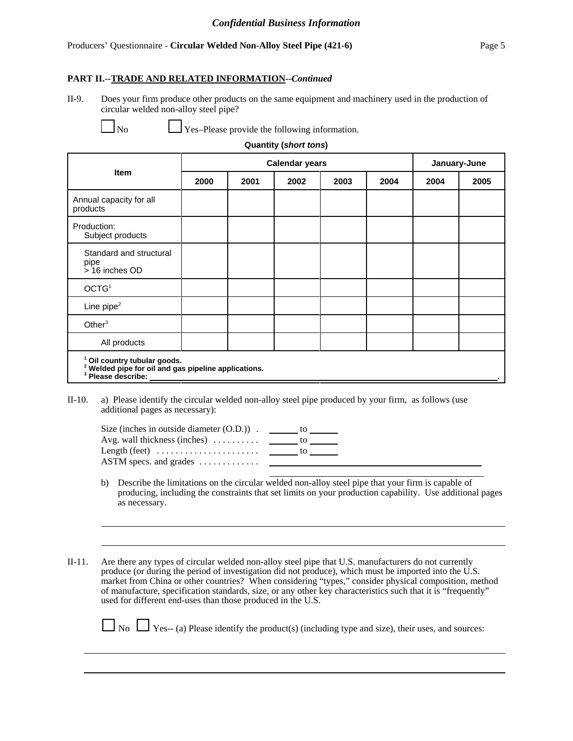#### Producers' Questionnaire - **Circular Welded Non-Alloy Steel Pipe (421-6)** Page 5

#### **PART II.--TRADE AND RELATED INFORMATION--***Continued*

II-9. Does your firm produce other products on the same equipment and machinery used in the production of circular welded non-alloy steel pipe?

 $\perp$  Yes–Please provide the following information.

| <b>Quantity (short tons)</b> |  |
|------------------------------|--|
|------------------------------|--|

|                                                                                                                                             | <b>Calendar years</b> |      |      |      |      | January-June |      |
|---------------------------------------------------------------------------------------------------------------------------------------------|-----------------------|------|------|------|------|--------------|------|
| <b>Item</b>                                                                                                                                 | 2000                  | 2001 | 2002 | 2003 | 2004 | 2004         | 2005 |
| Annual capacity for all<br>products                                                                                                         |                       |      |      |      |      |              |      |
| Production:<br>Subject products                                                                                                             |                       |      |      |      |      |              |      |
| Standard and structural<br>pipe<br>> 16 inches OD                                                                                           |                       |      |      |      |      |              |      |
| OCTG <sup>1</sup>                                                                                                                           |                       |      |      |      |      |              |      |
| Line pipe $2$                                                                                                                               |                       |      |      |      |      |              |      |
| Other $3$                                                                                                                                   |                       |      |      |      |      |              |      |
| All products                                                                                                                                |                       |      |      |      |      |              |      |
| <sup>1</sup> Oil country tubular goods.<br><sup>2</sup> Welded pipe for oil and gas pipeline applications.<br><sup>3</sup> Please describe: |                       |      |      |      |      |              |      |

II-10. a) Please identify the circular welded non-alloy steel pipe produced by your firm, as follows (use additional pages as necessary):

 $\overline{a}$ 

| Size (inches in outside diameter $(0.D.)$ ).              | to  |
|-----------------------------------------------------------|-----|
| Avg. wall thickness (inches) $\dots$                      | TO. |
| Length (feet) $\dots \dots \dots \dots \dots \dots \dots$ | Ю   |
| $\triangle$ STM specs. and grades $\dots \dots \dots$     |     |

- b) Describe the limitations on the circular welded non-alloy steel pipe that your firm is capable of producing, including the constraints that set limits on your production capability. Use additional pages as necessary.
- II-11. Are there any types of circular welded non-alloy steel pipe that U.S. manufacturers do not currently produce (or during the period of investigation did not produce), which must be imported into the U.S. market from China or other countries? When considering "types," consider physical composition, method of manufacture, specification standards, size, or any other key characteristics such that it is "frequently" used for different end-uses than those produced in the U.S.

 $\Box$  No  $\Box$  Yes-- (a) Please identify the product(s) (including type and size), their uses, and sources: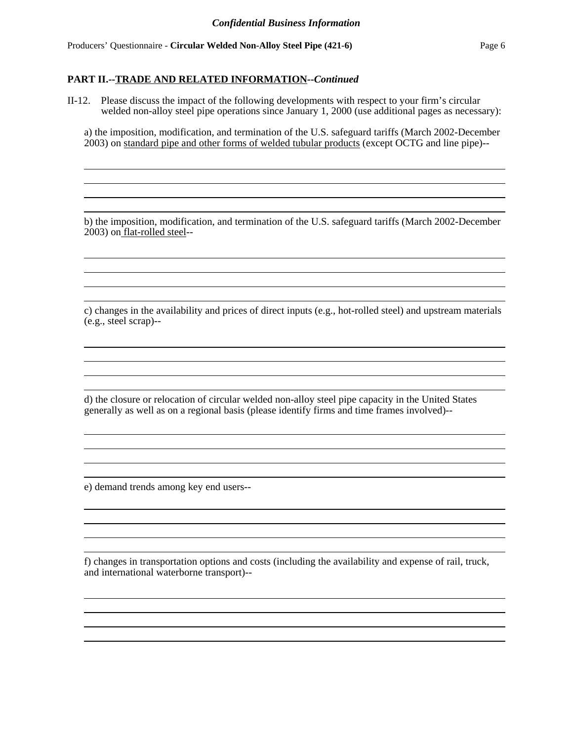#### **PART II.--TRADE AND RELATED INFORMATION--***Continued*

II-12. Please discuss the impact of the following developments with respect to your firm's circular welded non-alloy steel pipe operations since January 1, 2000 (use additional pages as necessary):

a) the imposition, modification, and termination of the U.S. safeguard tariffs (March 2002-December 2003) on standard pipe and other forms of welded tubular products (except OCTG and line pipe)--

> the control of the control of the control of the control of the control of the control of the control of the control of the control of the control of the control of the control of the control of the control of the control the control of the control of the control of the control of the control of the control of the control of the control of the control of the control of the control of the control of the control of the control of the control

b) the imposition, modification, and termination of the U.S. safeguard tariffs (March 2002-December 2003) on flat-rolled steel--

c) changes in the availability and prices of direct inputs (e.g., hot-rolled steel) and upstream materials (e.g., steel scrap)--

d) the closure or relocation of circular welded non-alloy steel pipe capacity in the United States generally as well as on a regional basis (please identify firms and time frames involved)--

e) demand trends among key end users--

f) changes in transportation options and costs (including the availability and expense of rail, truck, and international waterborne transport)--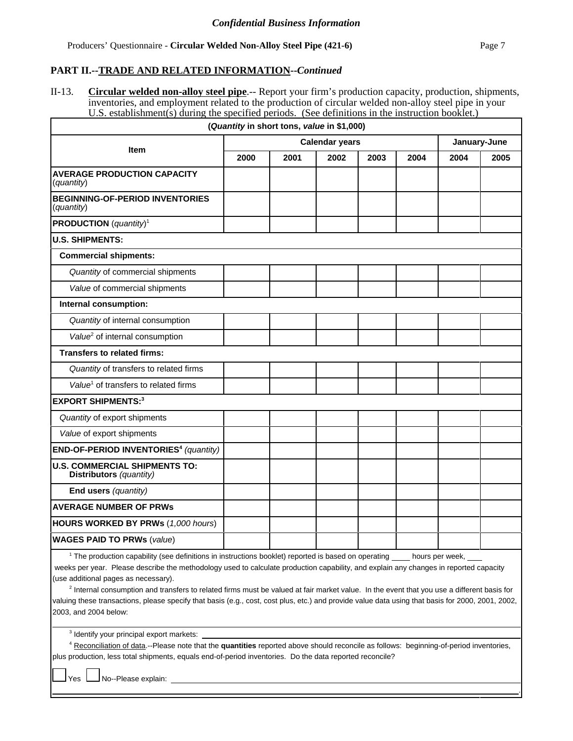#### **PART II.--TRADE AND RELATED INFORMATION--***Continued*

II-13. **Circular welded non-alloy steel pipe**.-- Report your firm's production capacity, production, shipments, inventories, and employment related to the production of circular welded non-alloy steel pipe in your U.S. establishment(s) during the specified periods. (See definitions in the instruction booklet.)

|                                                                 | (Quantity in short tons, value in \$1,000) |                       |      |              |      |      |      |
|-----------------------------------------------------------------|--------------------------------------------|-----------------------|------|--------------|------|------|------|
| <b>Item</b>                                                     |                                            | <b>Calendar years</b> |      | January-June |      |      |      |
|                                                                 | 2000                                       | 2001                  | 2002 | 2003         | 2004 | 2004 | 2005 |
| <b>AVERAGE PRODUCTION CAPACITY</b><br>(quantity)                |                                            |                       |      |              |      |      |      |
| <b>BEGINNING-OF-PERIOD INVENTORIES</b><br>(quantity)            |                                            |                       |      |              |      |      |      |
| <b>PRODUCTION</b> ( <i>quantity</i> ) <sup>1</sup>              |                                            |                       |      |              |      |      |      |
| <b>U.S. SHIPMENTS:</b>                                          |                                            |                       |      |              |      |      |      |
| <b>Commercial shipments:</b>                                    |                                            |                       |      |              |      |      |      |
| Quantity of commercial shipments                                |                                            |                       |      |              |      |      |      |
| Value of commercial shipments                                   |                                            |                       |      |              |      |      |      |
| Internal consumption:                                           |                                            |                       |      |              |      |      |      |
| Quantity of internal consumption                                |                                            |                       |      |              |      |      |      |
| Value <sup>2</sup> of internal consumption                      |                                            |                       |      |              |      |      |      |
| <b>Transfers to related firms:</b>                              |                                            |                       |      |              |      |      |      |
| Quantity of transfers to related firms                          |                                            |                       |      |              |      |      |      |
| Value <sup>1</sup> of transfers to related firms                |                                            |                       |      |              |      |      |      |
| <b>EXPORT SHIPMENTS:3</b>                                       |                                            |                       |      |              |      |      |      |
| Quantity of export shipments                                    |                                            |                       |      |              |      |      |      |
| Value of export shipments                                       |                                            |                       |      |              |      |      |      |
| END-OF-PERIOD INVENTORIES <sup>4</sup> (quantity)               |                                            |                       |      |              |      |      |      |
| <b>U.S. COMMERCIAL SHIPMENTS TO:</b><br>Distributors (quantity) |                                            |                       |      |              |      |      |      |
| End users (quantity)                                            |                                            |                       |      |              |      |      |      |
| <b>AVERAGE NUMBER OF PRWS</b>                                   |                                            |                       |      |              |      |      |      |
| HOURS WORKED BY PRWs (1,000 hours)                              |                                            |                       |      |              |      |      |      |
| <b>WAGES PAID TO PRWs (value)</b>                               |                                            |                       |      |              |      |      |      |

<sup>1</sup> The production capability (see definitions in instructions booklet) reported is based on operating hours per week, weeks per year. Please describe the methodology used to calculate production capability, and explain any changes in reported capacity (use additional pages as necessary).

<sup>2</sup> Internal consumption and transfers to related firms must be valued at fair market value. In the event that you use a different basis for valuing these transactions, please specify that basis (e.g., cost, cost plus, etc.) and provide value data using that basis for 2000, 2001, 2002, 2003, and 2004 below:

<sup>3</sup> Identify your principal export markets:

4 Reconciliation of data.--Please note that the **quantities** reported above should reconcile as follows: beginning-of-period inventories, plus production, less total shipments, equals end-of-period inventories. Do the data reported reconcile?

Yes **No--Please explain:** 

.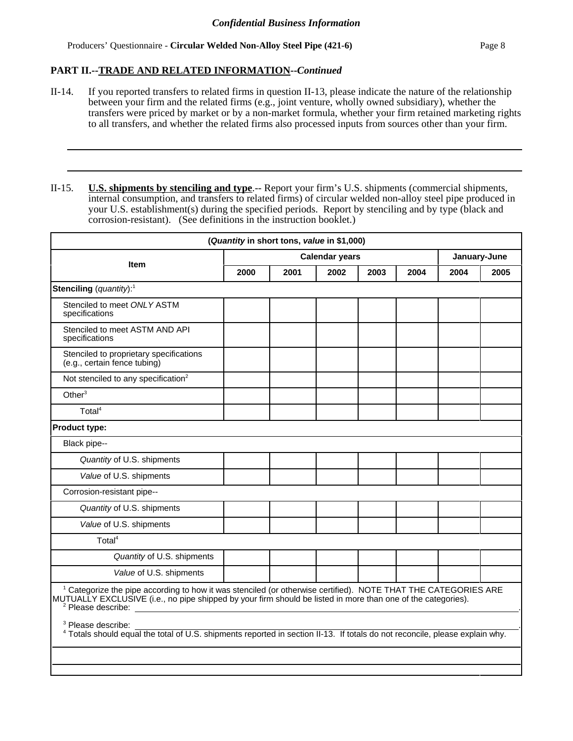Producers' Questionnaire - **Circular Welded Non-Alloy Steel Pipe (421-6)** Page 8

## **PART II.--TRADE AND RELATED INFORMATION--***Continued*

II-14. If you reported transfers to related firms in question II-13, please indicate the nature of the relationship between your firm and the related firms (e.g., joint venture, wholly owned subsidiary), whether the transfers were priced by market or by a non-market formula, whether your firm retained marketing rights to all transfers, and whether the related firms also processed inputs from sources other than your firm.

II-15. **U.S. shipments by stenciling and type**.-- Report your firm's U.S. shipments (commercial shipments, internal consumption, and transfers to related firms) of circular welded non-alloy steel pipe produced in your U.S. establishment(s) during the specified periods. Report by stenciling and by type (black and corrosion-resistant). (See definitions in the instruction booklet.)

|                                                                                                                                                                                                                                                                            |      | (Quantity in short tons, value in \$1,000) |      |      |      |      |              |
|----------------------------------------------------------------------------------------------------------------------------------------------------------------------------------------------------------------------------------------------------------------------------|------|--------------------------------------------|------|------|------|------|--------------|
| <b>Calendar years</b><br><b>Item</b>                                                                                                                                                                                                                                       |      |                                            |      |      |      |      | January-June |
|                                                                                                                                                                                                                                                                            | 2000 | 2001                                       | 2002 | 2003 | 2004 | 2004 | 2005         |
| Stenciling (quantity): <sup>1</sup>                                                                                                                                                                                                                                        |      |                                            |      |      |      |      |              |
| Stenciled to meet ONLY ASTM<br>specifications                                                                                                                                                                                                                              |      |                                            |      |      |      |      |              |
| Stenciled to meet ASTM AND API<br>specifications                                                                                                                                                                                                                           |      |                                            |      |      |      |      |              |
| Stenciled to proprietary specifications<br>(e.g., certain fence tubing)                                                                                                                                                                                                    |      |                                            |      |      |      |      |              |
| Not stenciled to any specification <sup>2</sup>                                                                                                                                                                                                                            |      |                                            |      |      |      |      |              |
| Other $3$                                                                                                                                                                                                                                                                  |      |                                            |      |      |      |      |              |
| Total <sup>4</sup>                                                                                                                                                                                                                                                         |      |                                            |      |      |      |      |              |
| <b>Product type:</b>                                                                                                                                                                                                                                                       |      |                                            |      |      |      |      |              |
| Black pipe--                                                                                                                                                                                                                                                               |      |                                            |      |      |      |      |              |
| Quantity of U.S. shipments                                                                                                                                                                                                                                                 |      |                                            |      |      |      |      |              |
| Value of U.S. shipments                                                                                                                                                                                                                                                    |      |                                            |      |      |      |      |              |
| Corrosion-resistant pipe--                                                                                                                                                                                                                                                 |      |                                            |      |      |      |      |              |
| Quantity of U.S. shipments                                                                                                                                                                                                                                                 |      |                                            |      |      |      |      |              |
| Value of U.S. shipments                                                                                                                                                                                                                                                    |      |                                            |      |      |      |      |              |
| Total <sup>4</sup>                                                                                                                                                                                                                                                         |      |                                            |      |      |      |      |              |
| Quantity of U.S. shipments                                                                                                                                                                                                                                                 |      |                                            |      |      |      |      |              |
| Value of U.S. shipments                                                                                                                                                                                                                                                    |      |                                            |      |      |      |      |              |
| <sup>1</sup> Categorize the pipe according to how it was stenciled (or otherwise certified). NOTE THAT THE CATEGORIES ARE<br>MUTUALLY EXCLUSIVE (i.e., no pipe shipped by your firm should be listed in more than one of the categories).<br><sup>2</sup> Please describe: |      |                                            |      |      |      |      |              |
| <sup>3</sup> Please describe:<br><sup>4</sup> Totals should equal the total of U.S. shipments reported in section II-13. If totals do not reconcile, please explain why.                                                                                                   |      |                                            |      |      |      |      |              |
|                                                                                                                                                                                                                                                                            |      |                                            |      |      |      |      |              |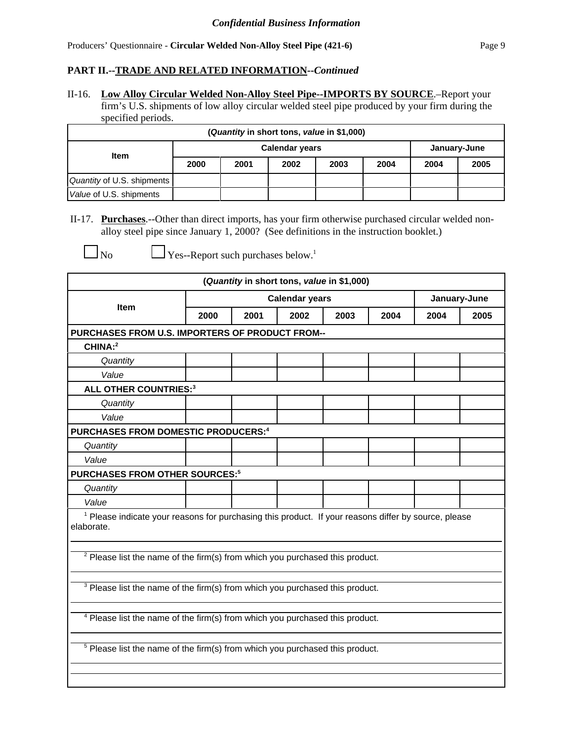# **PART II.--TRADE AND RELATED INFORMATION--***Continued*

II-16. **Low Alloy Circular Welded Non-Alloy Steel Pipe--IMPORTS BY SOURCE**.–Report your firm's U.S. shipments of low alloy circular welded steel pipe produced by your firm during the specified periods.

| (Quantity in short tons, value in \$1,000) |                       |      |              |      |      |      |      |  |  |  |  |
|--------------------------------------------|-----------------------|------|--------------|------|------|------|------|--|--|--|--|
|                                            | <b>Calendar years</b> |      | January-June |      |      |      |      |  |  |  |  |
| <b>Item</b>                                | 2000                  | 2001 | 2002         | 2003 | 2004 | 2004 | 2005 |  |  |  |  |
| Quantity of U.S. shipments                 |                       |      |              |      |      |      |      |  |  |  |  |
| Value of U.S. shipments                    |                       |      |              |      |      |      |      |  |  |  |  |

II-17. **Purchases**.--Other than direct imports, has your firm otherwise purchased circular welded nonalloy steel pipe since January 1, 2000? (See definitions in the instruction booklet.)

 $\Box$  No  $\Box$  Yes--Report such purchases below.<sup>1</sup>

|                                                                                                                               |                                      | (Quantity in short tons, value in \$1,000) |  |  |  |  |      |
|-------------------------------------------------------------------------------------------------------------------------------|--------------------------------------|--------------------------------------------|--|--|--|--|------|
|                                                                                                                               |                                      | <b>Calendar years</b><br>January-June      |  |  |  |  |      |
| Item                                                                                                                          | 2000<br>2001<br>2002<br>2003<br>2004 |                                            |  |  |  |  | 2005 |
| PURCHASES FROM U.S. IMPORTERS OF PRODUCT FROM--                                                                               |                                      |                                            |  |  |  |  |      |
| CHINA:2                                                                                                                       |                                      |                                            |  |  |  |  |      |
| Quantity                                                                                                                      |                                      |                                            |  |  |  |  |      |
| Value                                                                                                                         |                                      |                                            |  |  |  |  |      |
| <b>ALL OTHER COUNTRIES:3</b>                                                                                                  |                                      |                                            |  |  |  |  |      |
| Quantity                                                                                                                      |                                      |                                            |  |  |  |  |      |
| Value                                                                                                                         |                                      |                                            |  |  |  |  |      |
| PURCHASES FROM DOMESTIC PRODUCERS: <sup>4</sup>                                                                               |                                      |                                            |  |  |  |  |      |
| Quantity                                                                                                                      |                                      |                                            |  |  |  |  |      |
| Value                                                                                                                         |                                      |                                            |  |  |  |  |      |
| <b>PURCHASES FROM OTHER SOURCES:5</b>                                                                                         |                                      |                                            |  |  |  |  |      |
| Quantity                                                                                                                      |                                      |                                            |  |  |  |  |      |
| Value                                                                                                                         |                                      |                                            |  |  |  |  |      |
| <sup>1</sup> Please indicate your reasons for purchasing this product. If your reasons differ by source, please<br>elaborate. |                                      |                                            |  |  |  |  |      |
| <sup>2</sup> Please list the name of the firm(s) from which you purchased this product.                                       |                                      |                                            |  |  |  |  |      |
| <sup>3</sup> Please list the name of the firm(s) from which you purchased this product.                                       |                                      |                                            |  |  |  |  |      |
| <sup>4</sup> Please list the name of the firm(s) from which you purchased this product.                                       |                                      |                                            |  |  |  |  |      |
| <sup>5</sup> Please list the name of the firm(s) from which you purchased this product.                                       |                                      |                                            |  |  |  |  |      |
|                                                                                                                               |                                      |                                            |  |  |  |  |      |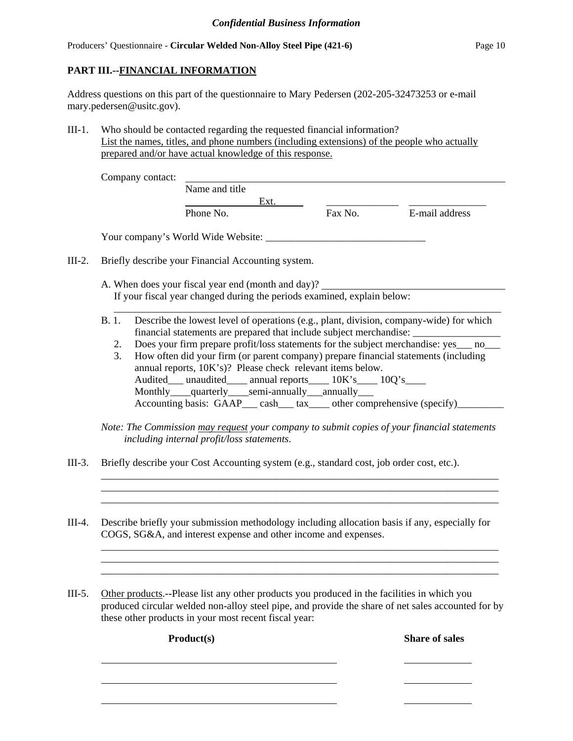# **PART III.--FINANCIAL INFORMATION**

Address questions on this part of the questionnaire to Mary Pedersen (202-205-32473253 or e-mail mary.pedersen@usitc.gov).

III-1. Who should be contacted regarding the requested financial information? List the names, titles, and phone numbers (including extensions) of the people who actually prepared and/or have actual knowledge of this response.

|                         | Ext.<br>Phone No.<br>Your company's World Wide Website:                                                                                                                                                                                                                                                                                                                                                                                                                                                                                                                                                                                      | Fax No. | E-mail address                                                                                                                                                                                                                         |
|-------------------------|----------------------------------------------------------------------------------------------------------------------------------------------------------------------------------------------------------------------------------------------------------------------------------------------------------------------------------------------------------------------------------------------------------------------------------------------------------------------------------------------------------------------------------------------------------------------------------------------------------------------------------------------|---------|----------------------------------------------------------------------------------------------------------------------------------------------------------------------------------------------------------------------------------------|
|                         |                                                                                                                                                                                                                                                                                                                                                                                                                                                                                                                                                                                                                                              |         |                                                                                                                                                                                                                                        |
|                         |                                                                                                                                                                                                                                                                                                                                                                                                                                                                                                                                                                                                                                              |         |                                                                                                                                                                                                                                        |
|                         |                                                                                                                                                                                                                                                                                                                                                                                                                                                                                                                                                                                                                                              |         |                                                                                                                                                                                                                                        |
|                         | Briefly describe your Financial Accounting system.                                                                                                                                                                                                                                                                                                                                                                                                                                                                                                                                                                                           |         |                                                                                                                                                                                                                                        |
|                         | A. When does your fiscal year end (month and day)?<br>If your fiscal year changed during the periods examined, explain below:                                                                                                                                                                                                                                                                                                                                                                                                                                                                                                                |         |                                                                                                                                                                                                                                        |
| <b>B.1.</b><br>2.<br>3. | Describe the lowest level of operations (e.g., plant, division, company-wide) for which<br>financial statements are prepared that include subject merchandise: ________________________________<br>Does your firm prepare profit/loss statements for the subject merchandise: yes___ no___<br>How often did your firm (or parent company) prepare financial statements (including<br>annual reports, 10K's)? Please check relevant items below.<br>Audited__ unaudited___ annual reports___ 10K's___ 10Q's___<br>Monthly___quarterly___semi-annually__annually__<br>Accounting basis: GAAP___ cash___ tax____ other comprehensive (specify)_ |         |                                                                                                                                                                                                                                        |
|                         |                                                                                                                                                                                                                                                                                                                                                                                                                                                                                                                                                                                                                                              |         |                                                                                                                                                                                                                                        |
|                         |                                                                                                                                                                                                                                                                                                                                                                                                                                                                                                                                                                                                                                              |         | Note: The Commission may request your company to submit copies of your financial statements<br>including internal profit/loss statements.<br>Briefly describe your Cost Accounting system (e.g., standard cost, job order cost, etc.). |

III-5. Other products.--Please list any other products you produced in the facilities in which you produced circular welded non-alloy steel pipe, and provide the share of net sales accounted for by these other products in your most recent fiscal year:

**Product(s) Share of sales**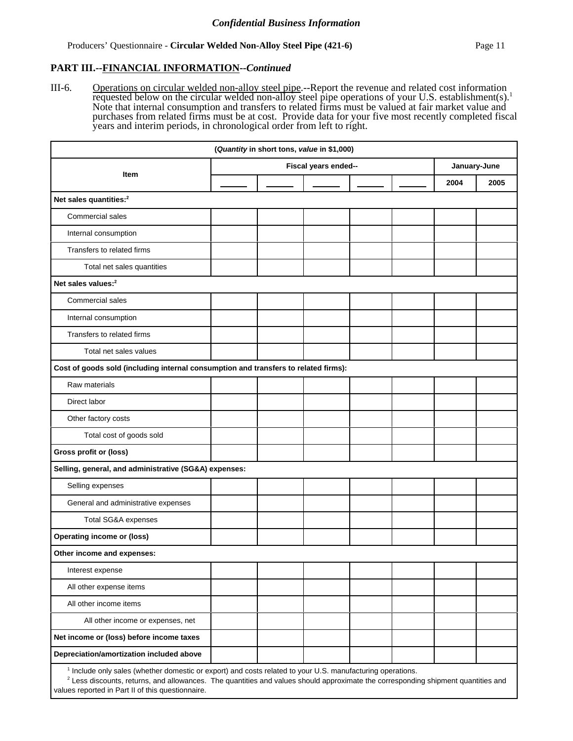#### **PART III.--FINANCIAL INFORMATION--***Continued*

III-6. Operations on circular welded non-alloy steel pipe.--Report the revenue and related cost information requested below on the circular welded non-alloy steel pipe operations of your U.S. establishment(s).<sup>1</sup> Note that internal consumption and transfers to related firms must be valued at fair market value and purchases from related firms must be at cost. Provide data for your five most recently completed fiscal years and interim periods, in chronological order from left to right.

|                                                                                     |  | (Quantity in short tons, value in \$1,000) |  |  |      |      |
|-------------------------------------------------------------------------------------|--|--------------------------------------------|--|--|------|------|
|                                                                                     |  | January-June                               |  |  |      |      |
| Item                                                                                |  |                                            |  |  | 2004 | 2005 |
| Net sales quantities: <sup>2</sup>                                                  |  |                                            |  |  |      |      |
| Commercial sales                                                                    |  |                                            |  |  |      |      |
| Internal consumption                                                                |  |                                            |  |  |      |      |
| Transfers to related firms                                                          |  |                                            |  |  |      |      |
| Total net sales quantities                                                          |  |                                            |  |  |      |      |
| Net sales values: <sup>2</sup>                                                      |  |                                            |  |  |      |      |
| Commercial sales                                                                    |  |                                            |  |  |      |      |
| Internal consumption                                                                |  |                                            |  |  |      |      |
| Transfers to related firms                                                          |  |                                            |  |  |      |      |
| Total net sales values                                                              |  |                                            |  |  |      |      |
| Cost of goods sold (including internal consumption and transfers to related firms): |  |                                            |  |  |      |      |
| Raw materials                                                                       |  |                                            |  |  |      |      |
| Direct labor                                                                        |  |                                            |  |  |      |      |
| Other factory costs                                                                 |  |                                            |  |  |      |      |
| Total cost of goods sold                                                            |  |                                            |  |  |      |      |
| Gross profit or (loss)                                                              |  |                                            |  |  |      |      |
| Selling, general, and administrative (SG&A) expenses:                               |  |                                            |  |  |      |      |
| Selling expenses                                                                    |  |                                            |  |  |      |      |
| General and administrative expenses                                                 |  |                                            |  |  |      |      |
| Total SG&A expenses                                                                 |  |                                            |  |  |      |      |
| <b>Operating income or (loss)</b>                                                   |  |                                            |  |  |      |      |
| Other income and expenses:                                                          |  |                                            |  |  |      |      |
| Interest expense                                                                    |  |                                            |  |  |      |      |
| All other expense items                                                             |  |                                            |  |  |      |      |
| All other income items                                                              |  |                                            |  |  |      |      |
| All other income or expenses, net                                                   |  |                                            |  |  |      |      |
| Net income or (loss) before income taxes                                            |  |                                            |  |  |      |      |
| Depreciation/amortization included above                                            |  |                                            |  |  |      |      |
|                                                                                     |  |                                            |  |  |      |      |

<sup>1</sup> Include only sales (whether domestic or export) and costs related to your U.S. manufacturing operations.

<sup>2</sup> Less discounts, returns, and allowances. The quantities and values should approximate the corresponding shipment quantities and values reported in Part II of this questionnaire.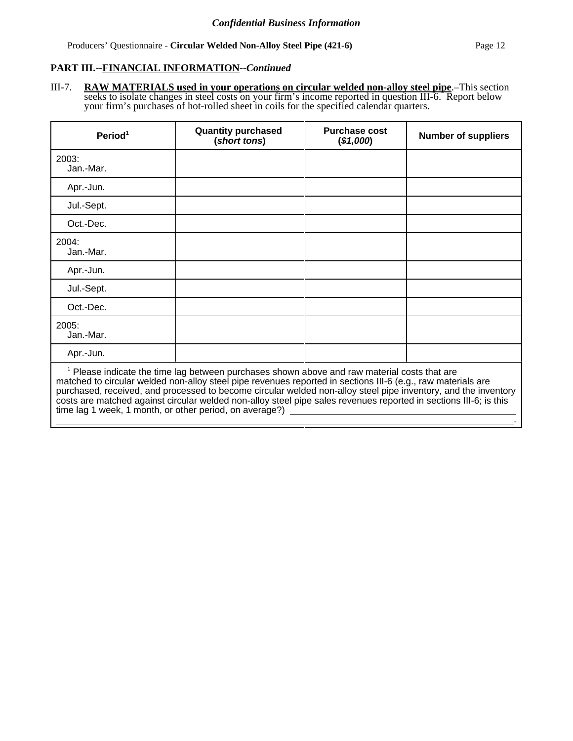Producers' Questionnaire - **Circular Welded Non-Alloy Steel Pipe (421-6)** Page 12

.

## **PART III.--FINANCIAL INFORMATION--***Continued*

III-7. **RAW MATERIALS used in your operations on circular welded non-alloy steel pipe**.–This section seeks to isolate changes in steel costs on your firm's income reported in question III-6. Report below your firm's purchases of hot-rolled sheet in coils for the specified calendar quarters.

| Period <sup>1</sup>                                                                                                                                                                                                                                                                                                                                                                                                                                                                                                       | <b>Quantity purchased</b><br>(short tons) | <b>Purchase cost</b><br>(\$1,000) | <b>Number of suppliers</b> |  |  |  |  |
|---------------------------------------------------------------------------------------------------------------------------------------------------------------------------------------------------------------------------------------------------------------------------------------------------------------------------------------------------------------------------------------------------------------------------------------------------------------------------------------------------------------------------|-------------------------------------------|-----------------------------------|----------------------------|--|--|--|--|
| 2003:<br>Jan.-Mar.                                                                                                                                                                                                                                                                                                                                                                                                                                                                                                        |                                           |                                   |                            |  |  |  |  |
| Apr.-Jun.                                                                                                                                                                                                                                                                                                                                                                                                                                                                                                                 |                                           |                                   |                            |  |  |  |  |
| Jul.-Sept.                                                                                                                                                                                                                                                                                                                                                                                                                                                                                                                |                                           |                                   |                            |  |  |  |  |
| Oct.-Dec.                                                                                                                                                                                                                                                                                                                                                                                                                                                                                                                 |                                           |                                   |                            |  |  |  |  |
| 2004:<br>Jan.-Mar.                                                                                                                                                                                                                                                                                                                                                                                                                                                                                                        |                                           |                                   |                            |  |  |  |  |
| Apr.-Jun.                                                                                                                                                                                                                                                                                                                                                                                                                                                                                                                 |                                           |                                   |                            |  |  |  |  |
| Jul.-Sept.                                                                                                                                                                                                                                                                                                                                                                                                                                                                                                                |                                           |                                   |                            |  |  |  |  |
| Oct.-Dec.                                                                                                                                                                                                                                                                                                                                                                                                                                                                                                                 |                                           |                                   |                            |  |  |  |  |
| 2005:<br>Jan.-Mar.                                                                                                                                                                                                                                                                                                                                                                                                                                                                                                        |                                           |                                   |                            |  |  |  |  |
| Apr.-Jun.                                                                                                                                                                                                                                                                                                                                                                                                                                                                                                                 |                                           |                                   |                            |  |  |  |  |
| <sup>1</sup> Please indicate the time lag between purchases shown above and raw material costs that are<br>matched to circular welded non-alloy steel pipe revenues reported in sections III-6 (e.g., raw materials are<br>purchased, received, and processed to become circular welded non-alloy steel pipe inventory, and the inventory<br>costs are matched against circular welded non-alloy steel pipe sales revenues reported in sections III-6; is this<br>time lag 1 week, 1 month, or other period, on average?) |                                           |                                   |                            |  |  |  |  |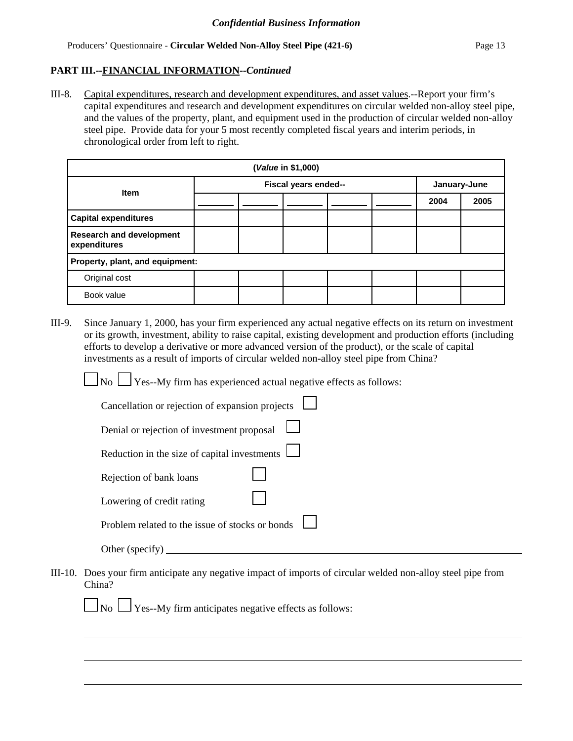## **PART III.--FINANCIAL INFORMATION--***Continued*

III-8. Capital expenditures, research and development expenditures, and asset values.--Report your firm's capital expenditures and research and development expenditures on circular welded non-alloy steel pipe, and the values of the property, plant, and equipment used in the production of circular welded non-alloy steel pipe. Provide data for your 5 most recently completed fiscal years and interim periods, in chronological order from left to right.

| (Value in \$1,000)                              |  |                      |  |              |  |      |      |  |  |
|-------------------------------------------------|--|----------------------|--|--------------|--|------|------|--|--|
| <b>Item</b>                                     |  | Fiscal years ended-- |  | January-June |  |      |      |  |  |
|                                                 |  |                      |  |              |  | 2004 | 2005 |  |  |
| <b>Capital expenditures</b>                     |  |                      |  |              |  |      |      |  |  |
| <b>Research and development</b><br>expenditures |  |                      |  |              |  |      |      |  |  |
| Property, plant, and equipment:                 |  |                      |  |              |  |      |      |  |  |
| Original cost                                   |  |                      |  |              |  |      |      |  |  |
| Book value                                      |  |                      |  |              |  |      |      |  |  |

III-9. Since January 1, 2000, has your firm experienced any actual negative effects on its return on investment or its growth, investment, ability to raise capital, existing development and production efforts (including efforts to develop a derivative or more advanced version of the product), or the scale of capital investments as a result of imports of circular welded non-alloy steel pipe from China?

 $\Box$  No  $\Box$  Yes--My firm has experienced actual negative effects as follows:

| Cancellation or rejection of expansion projects |  |
|-------------------------------------------------|--|
| Denial or rejection of investment proposal      |  |
| Reduction in the size of capital investments    |  |
| Rejection of bank loans                         |  |
| Lowering of credit rating                       |  |
| Problem related to the issue of stocks or bonds |  |
| Other (specify)                                 |  |

III-10. Does your firm anticipate any negative impact of imports of circular welded non-alloy steel pipe from China?

 $\Box$  No  $\Box$  Yes--My firm anticipates negative effects as follows: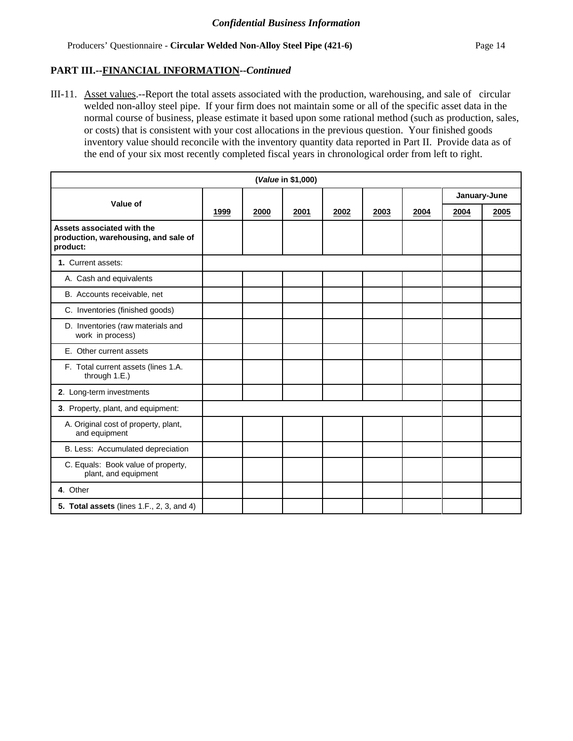## **PART III.--FINANCIAL INFORMATION--***Continued*

III-11. Asset values.--Report the total assets associated with the production, warehousing, and sale of circular welded non-alloy steel pipe. If your firm does not maintain some or all of the specific asset data in the normal course of business, please estimate it based upon some rational method (such as production, sales, or costs) that is consistent with your cost allocations in the previous question. Your finished goods inventory value should reconcile with the inventory quantity data reported in Part II. Provide data as of the end of your six most recently completed fiscal years in chronological order from left to right.

|                                                                                |      |      | (Value in \$1,000) |      |      |      |              |      |
|--------------------------------------------------------------------------------|------|------|--------------------|------|------|------|--------------|------|
| Value of                                                                       |      |      |                    |      |      |      | January-June |      |
|                                                                                | 1999 | 2000 | 2001               | 2002 | 2003 | 2004 | 2004         | 2005 |
| Assets associated with the<br>production, warehousing, and sale of<br>product: |      |      |                    |      |      |      |              |      |
| 1. Current assets:                                                             |      |      |                    |      |      |      |              |      |
| A. Cash and equivalents                                                        |      |      |                    |      |      |      |              |      |
| B. Accounts receivable, net                                                    |      |      |                    |      |      |      |              |      |
| C. Inventories (finished goods)                                                |      |      |                    |      |      |      |              |      |
| D. Inventories (raw materials and<br>work in process)                          |      |      |                    |      |      |      |              |      |
| E. Other current assets                                                        |      |      |                    |      |      |      |              |      |
| F. Total current assets (lines 1.A.<br>through 1.E.)                           |      |      |                    |      |      |      |              |      |
| 2. Long-term investments                                                       |      |      |                    |      |      |      |              |      |
| 3. Property, plant, and equipment:                                             |      |      |                    |      |      |      |              |      |
| A. Original cost of property, plant,<br>and equipment                          |      |      |                    |      |      |      |              |      |
| B. Less: Accumulated depreciation                                              |      |      |                    |      |      |      |              |      |
| C. Equals: Book value of property,<br>plant, and equipment                     |      |      |                    |      |      |      |              |      |
| 4. Other                                                                       |      |      |                    |      |      |      |              |      |
| 5. Total assets (lines $1.F., 2, 3, and 4$ )                                   |      |      |                    |      |      |      |              |      |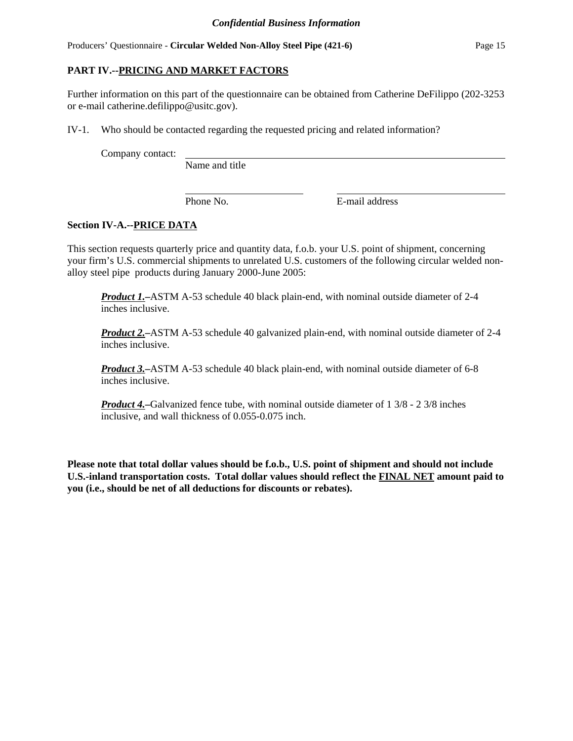# **PART IV.--PRICING AND MARKET FACTORS**

Further information on this part of the questionnaire can be obtained from Catherine DeFilippo (202-3253 or e-mail catherine.defilippo@usitc.gov).

IV-1. Who should be contacted regarding the requested pricing and related information?

Company contact:

Name and title

Phone No. **E-mail address** 

# **Section IV-A.--PRICE DATA**

This section requests quarterly price and quantity data, f.o.b. your U.S. point of shipment, concerning your firm's U.S. commercial shipments to unrelated U.S. customers of the following circular welded nonalloy steel pipe products during January 2000-June 2005:

*Product 1.***–**ASTM A-53 schedule 40 black plain-end, with nominal outside diameter of 2-4 inches inclusive.

*Product 2.***–**ASTM A-53 schedule 40 galvanized plain-end, with nominal outside diameter of 2-4 inches inclusive.

*Product 3.***–**ASTM A-53 schedule 40 black plain-end, with nominal outside diameter of 6-8 inches inclusive.

*Product 4.***–**Galvanized fence tube, with nominal outside diameter of 1 3/8 - 2 3/8 inches inclusive, and wall thickness of 0.055-0.075 inch.

**Please note that total dollar values should be f.o.b., U.S. point of shipment and should not include U.S.-inland transportation costs. Total dollar values should reflect the FINAL NET amount paid to you (i.e., should be net of all deductions for discounts or rebates).**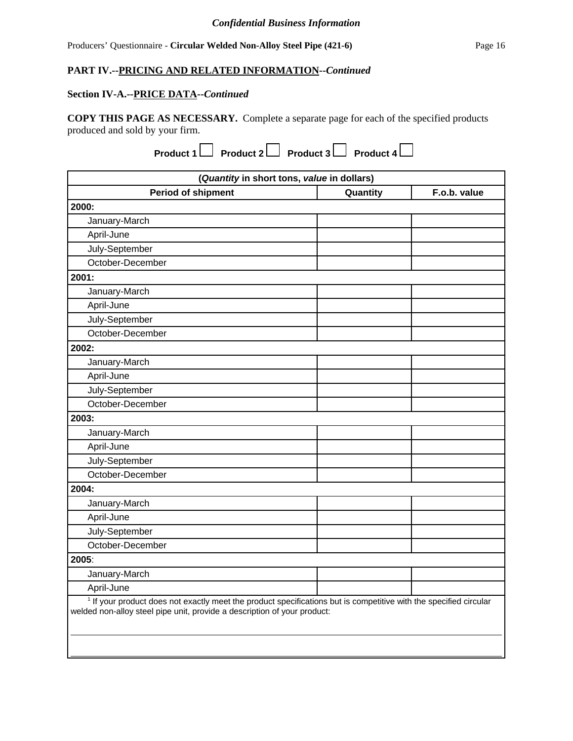## **PART IV.--PRICING AND RELATED INFORMATION--***Continued*

## **Section IV-A.--PRICE DATA--***Continued*

**COPY THIS PAGE AS NECESSARY.** Complete a separate page for each of the specified products produced and sold by your firm.

**Product 1** Product 2 Product 3 Product 4 ■

| (Quantity in short tons, value in dollars)                                                                                                                                                               |          |              |
|----------------------------------------------------------------------------------------------------------------------------------------------------------------------------------------------------------|----------|--------------|
| <b>Period of shipment</b>                                                                                                                                                                                | Quantity | F.o.b. value |
| 2000:                                                                                                                                                                                                    |          |              |
| January-March                                                                                                                                                                                            |          |              |
| April-June                                                                                                                                                                                               |          |              |
| July-September                                                                                                                                                                                           |          |              |
| October-December                                                                                                                                                                                         |          |              |
| 2001:                                                                                                                                                                                                    |          |              |
| January-March                                                                                                                                                                                            |          |              |
| April-June                                                                                                                                                                                               |          |              |
| July-September                                                                                                                                                                                           |          |              |
| October-December                                                                                                                                                                                         |          |              |
| 2002:                                                                                                                                                                                                    |          |              |
| January-March                                                                                                                                                                                            |          |              |
| April-June                                                                                                                                                                                               |          |              |
| July-September                                                                                                                                                                                           |          |              |
| October-December                                                                                                                                                                                         |          |              |
| 2003:                                                                                                                                                                                                    |          |              |
| January-March                                                                                                                                                                                            |          |              |
| April-June                                                                                                                                                                                               |          |              |
| July-September                                                                                                                                                                                           |          |              |
| October-December                                                                                                                                                                                         |          |              |
| 2004:                                                                                                                                                                                                    |          |              |
| January-March                                                                                                                                                                                            |          |              |
| April-June                                                                                                                                                                                               |          |              |
| July-September                                                                                                                                                                                           |          |              |
| October-December                                                                                                                                                                                         |          |              |
| 2005:                                                                                                                                                                                                    |          |              |
| January-March                                                                                                                                                                                            |          |              |
| April-June                                                                                                                                                                                               |          |              |
| <sup>1</sup> If your product does not exactly meet the product specifications but is competitive with the specified circular<br>welded non-alloy steel pipe unit, provide a description of your product: |          |              |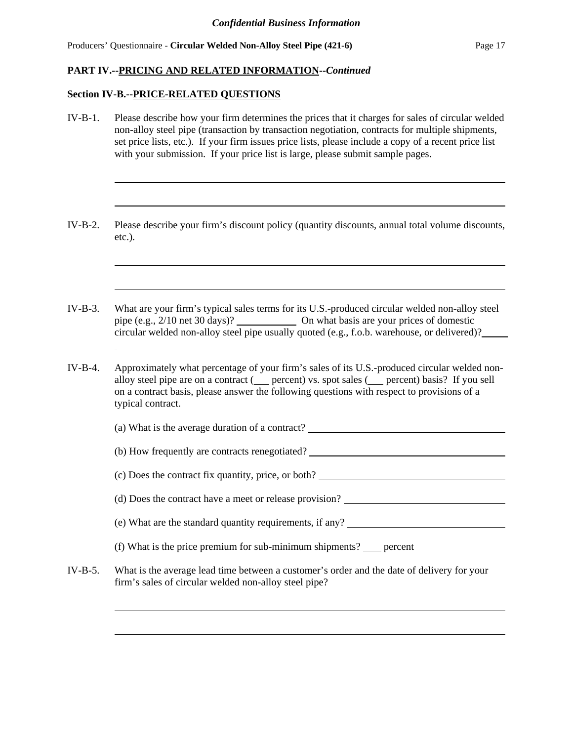#### **Section IV-B.--PRICE-RELATED QUESTIONS**

IV-B-1. Please describe how your firm determines the prices that it charges for sales of circular welded non-alloy steel pipe (transaction by transaction negotiation, contracts for multiple shipments, set price lists, etc.). If your firm issues price lists, please include a copy of a recent price list with your submission. If your price list is large, please submit sample pages. IV-B-2. Please describe your firm's discount policy (quantity discounts, annual total volume discounts, etc.). IV-B-3. What are your firm's typical sales terms for its U.S.-produced circular welded non-alloy steel pipe (e.g., 2/10 net 30 days)? On what basis are your prices of domestic circular welded non-alloy steel pipe usually quoted (e.g., f.o.b. warehouse, or delivered)? IV-B-4. Approximately what percentage of your firm's sales of its U.S.-produced circular welded nonalloy steel pipe are on a contract ( percent) vs. spot sales ( percent) basis? If you sell on a contract basis, please answer the following questions with respect to provisions of a typical contract. (a) What is the average duration of a contract? (b) How frequently are contracts renegotiated? (c) Does the contract fix quantity, price, or both? (d) Does the contract have a meet or release provision? (e) What are the standard quantity requirements, if any? (f) What is the price premium for sub-minimum shipments? percent IV-B-5. What is the average lead time between a customer's order and the date of delivery for your firm's sales of circular welded non-alloy steel pipe?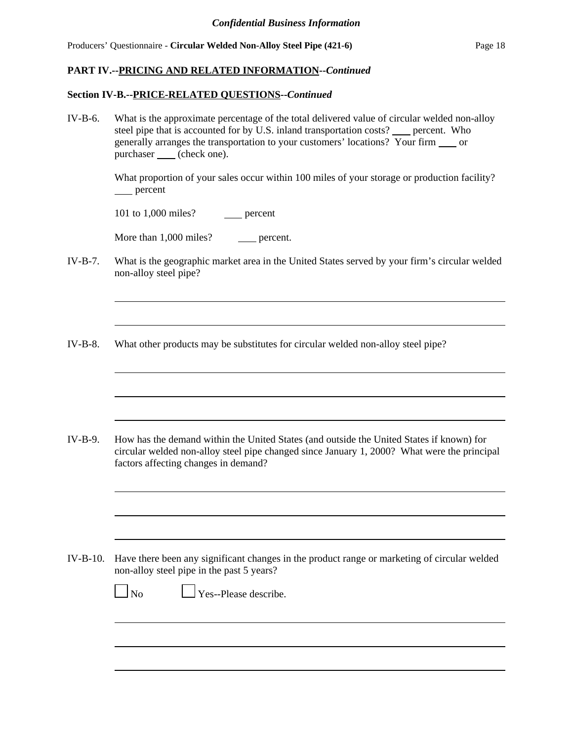#### **Section IV-B.--PRICE-RELATED QUESTIONS--***Continued*

IV-B-6. What is the approximate percentage of the total delivered value of circular welded non-alloy steel pipe that is accounted for by U.S. inland transportation costs? percent. Who generally arranges the transportation to your customers' locations? Your firm \_\_\_\_ or purchaser \_\_\_\_ (check one).

> What proportion of your sales occur within 100 miles of your storage or production facility? percent

101 to 1,000 miles? \_\_\_\_\_\_ percent

More than 1,000 miles? \_\_\_\_\_ percent.

- IV-B-7. What is the geographic market area in the United States served by your firm's circular welded non-alloy steel pipe?
- IV-B-8. What other products may be substitutes for circular welded non-alloy steel pipe?

IV-B-9. How has the demand within the United States (and outside the United States if known) for circular welded non-alloy steel pipe changed since January 1, 2000? What were the principal factors affecting changes in demand?

IV-B-10. Have there been any significant changes in the product range or marketing of circular welded non-alloy steel pipe in the past 5 years?

 $\Box$  Yes--Please describe.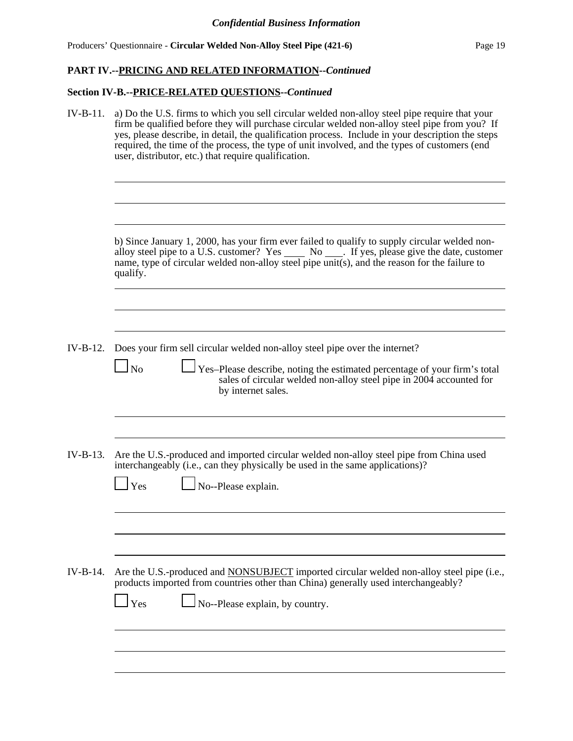# **Section IV-B.--PRICE-RELATED QUESTIONS--***Continued*

| $IV-B-11.$ | a) Do the U.S. firms to which you sell circular welded non-alloy steel pipe require that your<br>firm be qualified before they will purchase circular welded non-alloy steel pipe from you? If<br>yes, please describe, in detail, the qualification process. Include in your description the steps<br>required, the time of the process, the type of unit involved, and the types of customers (end<br>user, distributor, etc.) that require qualification. |  |  |  |  |  |  |
|------------|--------------------------------------------------------------------------------------------------------------------------------------------------------------------------------------------------------------------------------------------------------------------------------------------------------------------------------------------------------------------------------------------------------------------------------------------------------------|--|--|--|--|--|--|
|            | b) Since January 1, 2000, has your firm ever failed to qualify to supply circular welded non-<br>alloy steel pipe to a U.S. customer? Yes ______ No _____. If yes, please give the date, customer<br>name, type of circular welded non-alloy steel pipe unit(s), and the reason for the failure to<br>qualify.                                                                                                                                               |  |  |  |  |  |  |
| IV-B-12.   | Does your firm sell circular welded non-alloy steel pipe over the internet?<br>$\log$<br>Yes-Please describe, noting the estimated percentage of your firm's total<br>sales of circular welded non-alloy steel pipe in 2004 accounted for<br>by internet sales.                                                                                                                                                                                              |  |  |  |  |  |  |
| $IV-B-13.$ | Are the U.S.-produced and imported circular welded non-alloy steel pipe from China used<br>interchangeably (i.e., can they physically be used in the same applications)?<br>No--Please explain.<br>Yes                                                                                                                                                                                                                                                       |  |  |  |  |  |  |
| IV-B-14.   | Are the U.S.-produced and <b>NONSUBJECT</b> imported circular welded non-alloy steel pipe (i.e.,<br>products imported from countries other than China) generally used interchangeably?<br>No--Please explain, by country.<br>Yes                                                                                                                                                                                                                             |  |  |  |  |  |  |
|            |                                                                                                                                                                                                                                                                                                                                                                                                                                                              |  |  |  |  |  |  |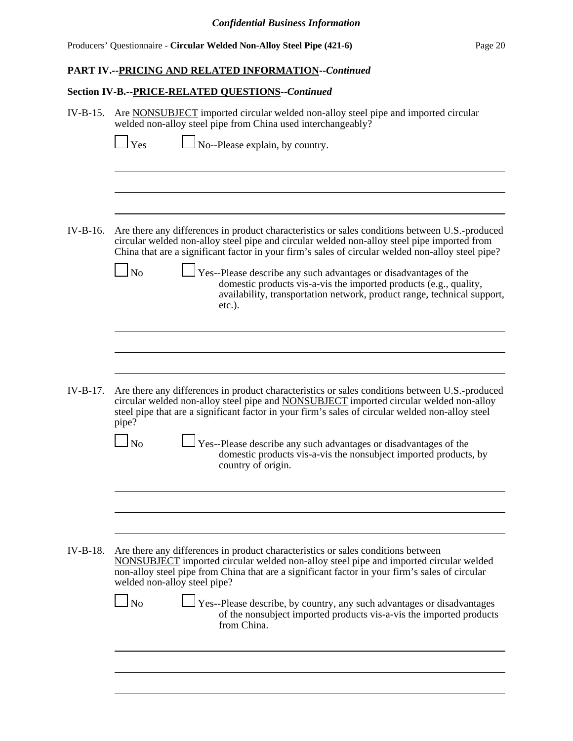# **PART IV.--PRICING AND RELATED INFORMATION--***Continued*

# **Section IV-B.--PRICE-RELATED QUESTIONS--***Continued*

| $IV-B-15.$ | Are NONSUBJECT imported circular welded non-alloy steel pipe and imported circular<br>welded non-alloy steel pipe from China used interchangeably?                                                                                                                                                                                                                                                                                                                                                                                               |  |  |  |  |  |  |
|------------|--------------------------------------------------------------------------------------------------------------------------------------------------------------------------------------------------------------------------------------------------------------------------------------------------------------------------------------------------------------------------------------------------------------------------------------------------------------------------------------------------------------------------------------------------|--|--|--|--|--|--|
|            | No--Please explain, by country.<br>Yes                                                                                                                                                                                                                                                                                                                                                                                                                                                                                                           |  |  |  |  |  |  |
| $IV-B-16.$ | Are there any differences in product characteristics or sales conditions between U.S.-produced<br>circular welded non-alloy steel pipe and circular welded non-alloy steel pipe imported from<br>China that are a significant factor in your firm's sales of circular welded non-alloy steel pipe?<br><b>No</b><br>Yes--Please describe any such advantages or disadvantages of the<br>domestic products vis-a-vis the imported products (e.g., quality,<br>availability, transportation network, product range, technical support,<br>$etc.$ ). |  |  |  |  |  |  |
| $IV-B-17.$ | Are there any differences in product characteristics or sales conditions between U.S.-produced                                                                                                                                                                                                                                                                                                                                                                                                                                                   |  |  |  |  |  |  |
|            | circular welded non-alloy steel pipe and <b>NONSUBJECT</b> imported circular welded non-alloy<br>steel pipe that are a significant factor in your firm's sales of circular welded non-alloy steel<br>pipe?<br><b>No</b><br>Yes--Please describe any such advantages or disadvantages of the<br>domestic products vis-a-vis the nonsubject imported products, by<br>country of origin.                                                                                                                                                            |  |  |  |  |  |  |
|            |                                                                                                                                                                                                                                                                                                                                                                                                                                                                                                                                                  |  |  |  |  |  |  |
| $IV-B-18.$ | Are there any differences in product characteristics or sales conditions between<br>NONSUBJECT imported circular welded non-alloy steel pipe and imported circular welded<br>non-alloy steel pipe from China that are a significant factor in your firm's sales of circular<br>welded non-alloy steel pipe?<br>N <sub>o</sub>                                                                                                                                                                                                                    |  |  |  |  |  |  |
|            | Yes--Please describe, by country, any such advantages or disadvantages<br>of the nonsubject imported products vis-a-vis the imported products<br>from China.                                                                                                                                                                                                                                                                                                                                                                                     |  |  |  |  |  |  |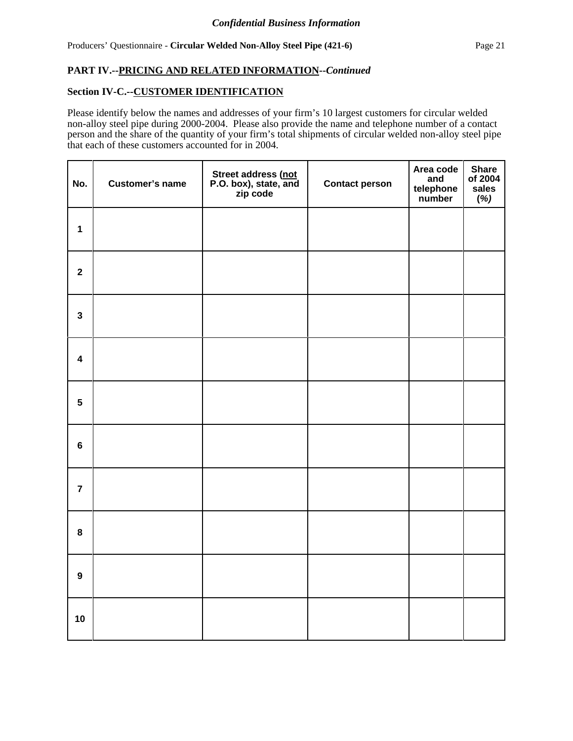## **Section IV-C.--CUSTOMER IDENTIFICATION**

Please identify below the names and addresses of your firm's 10 largest customers for circular welded non-alloy steel pipe during 2000-2004. Please also provide the name and telephone number of a contact person and the share of the quantity of your firm's total shipments of circular welded non-alloy steel pipe that each of these customers accounted for in 2004.

| No.                     | <b>Customer's name</b> | Street address (not<br>P.O. box), state, and<br>zip code | <b>Contact person</b> | Area code<br>and<br>telephone<br>number | <b>Share</b><br>of 2004<br>sales<br>(%) |
|-------------------------|------------------------|----------------------------------------------------------|-----------------------|-----------------------------------------|-----------------------------------------|
| $\mathbf{1}$            |                        |                                                          |                       |                                         |                                         |
| $\mathbf{2}$            |                        |                                                          |                       |                                         |                                         |
| $\mathbf{3}$            |                        |                                                          |                       |                                         |                                         |
| $\overline{\mathbf{4}}$ |                        |                                                          |                       |                                         |                                         |
| $5\phantom{a}$          |                        |                                                          |                       |                                         |                                         |
| $6\phantom{a}$          |                        |                                                          |                       |                                         |                                         |
| $\overline{7}$          |                        |                                                          |                       |                                         |                                         |
| $\bf 8$                 |                        |                                                          |                       |                                         |                                         |
| $\boldsymbol{9}$        |                        |                                                          |                       |                                         |                                         |
| 10                      |                        |                                                          |                       |                                         |                                         |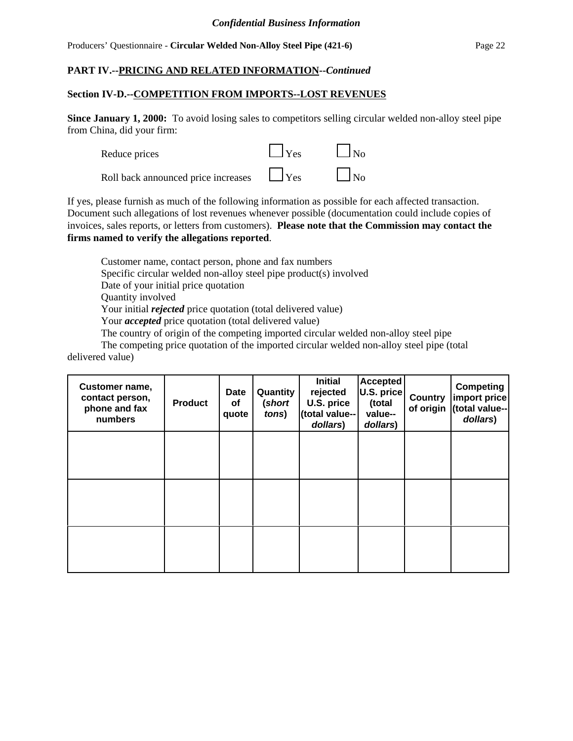#### Producers' Questionnaire - **Circular Welded Non-Alloy Steel Pipe (421-6)** Page 22

## **PART IV.--PRICING AND RELATED INFORMATION--***Continued*

#### **Section IV-D.--COMPETITION FROM IMPORTS--LOST REVENUES**

**Since January 1, 2000:** To avoid losing sales to competitors selling circular welded non-alloy steel pipe from China, did your firm:

| Reduce prices                       | $\Box$ Yes | N <sub>0</sub>     |
|-------------------------------------|------------|--------------------|
| Roll back announced price increases | $\Box$ Yes | $\vert$ $\vert$ No |

If yes, please furnish as much of the following information as possible for each affected transaction. Document such allegations of lost revenues whenever possible (documentation could include copies of invoices, sales reports, or letters from customers). **Please note that the Commission may contact the firms named to verify the allegations reported**.

Customer name, contact person, phone and fax numbers Specific circular welded non-alloy steel pipe product(s) involved Date of your initial price quotation Quantity involved Your initial *rejected* price quotation (total delivered value) Your *accepted* price quotation (total delivered value) The country of origin of the competing imported circular welded non-alloy steel pipe

The competing price quotation of the imported circular welded non-alloy steel pipe (total delivered value)

| Customer name,<br>contact person,<br>phone and fax<br>numbers | <b>Product</b> | <b>Date</b><br>οf<br>quote | Quantity<br>(short<br>tons) | <b>Initial</b><br>rejected<br>U.S. price<br>(total value--<br>dollars) | <b>Accepted</b><br>U.S. price<br>(total<br>value--<br>dollars) | Country<br>of origin | <b>Competing</b><br>import price<br>(total value--<br>dollars) |
|---------------------------------------------------------------|----------------|----------------------------|-----------------------------|------------------------------------------------------------------------|----------------------------------------------------------------|----------------------|----------------------------------------------------------------|
|                                                               |                |                            |                             |                                                                        |                                                                |                      |                                                                |
|                                                               |                |                            |                             |                                                                        |                                                                |                      |                                                                |
|                                                               |                |                            |                             |                                                                        |                                                                |                      |                                                                |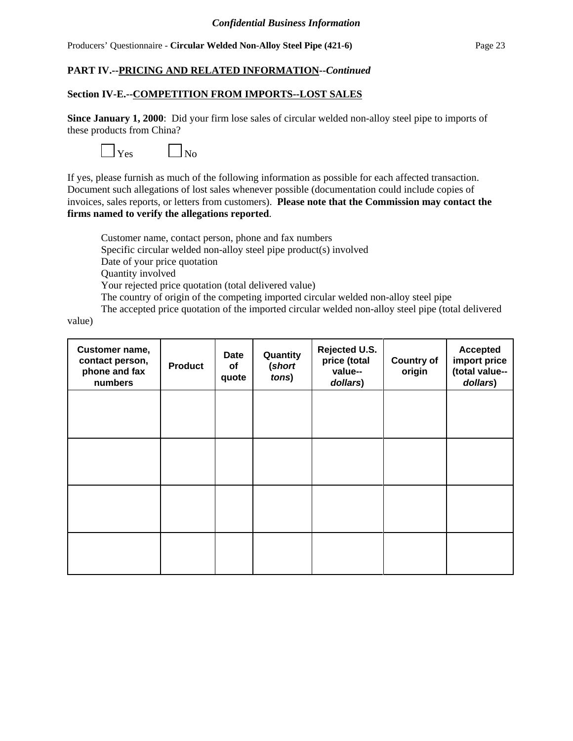## **PART IV.--PRICING AND RELATED INFORMATION--***Continued*

#### **Section IV-E.--COMPETITION FROM IMPORTS--LOST SALES**

**Since January 1, 2000**: Did your firm lose sales of circular welded non-alloy steel pipe to imports of these products from China?



If yes, please furnish as much of the following information as possible for each affected transaction. Document such allegations of lost sales whenever possible (documentation could include copies of invoices, sales reports, or letters from customers). **Please note that the Commission may contact the firms named to verify the allegations reported**.

Customer name, contact person, phone and fax numbers Specific circular welded non-alloy steel pipe product(s) involved Date of your price quotation Quantity involved Your rejected price quotation (total delivered value) The country of origin of the competing imported circular welded non-alloy steel pipe The accepted price quotation of the imported circular welded non-alloy steel pipe (total delivered

value)

| Customer name,<br>contact person,<br>phone and fax<br>numbers | <b>Product</b> | <b>Date</b><br>of<br>quote | Quantity<br>(short<br>tons) | Rejected U.S.<br>price (total<br>value--<br>dollars) | <b>Country of</b><br>origin | <b>Accepted</b><br>import price<br>(total value--<br>dollars) |
|---------------------------------------------------------------|----------------|----------------------------|-----------------------------|------------------------------------------------------|-----------------------------|---------------------------------------------------------------|
|                                                               |                |                            |                             |                                                      |                             |                                                               |
|                                                               |                |                            |                             |                                                      |                             |                                                               |
|                                                               |                |                            |                             |                                                      |                             |                                                               |
|                                                               |                |                            |                             |                                                      |                             |                                                               |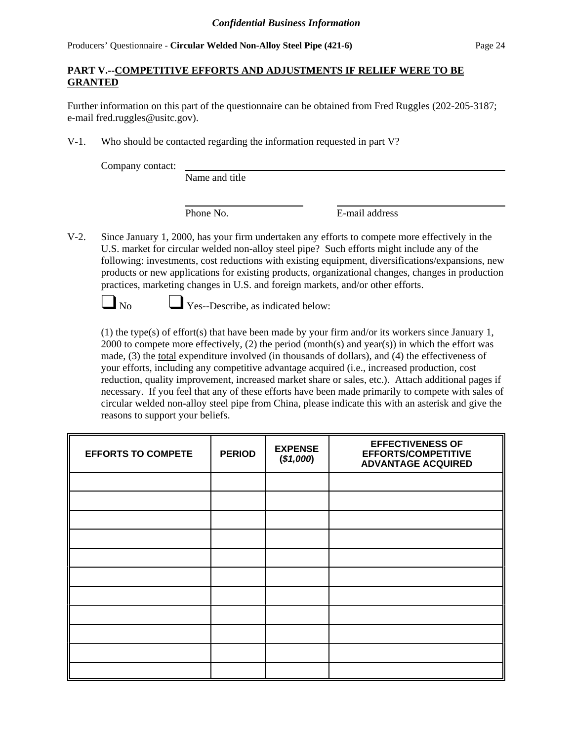# **PART V.--COMPETITIVE EFFORTS AND ADJUSTMENTS IF RELIEF WERE TO BE GRANTED**

Further information on this part of the questionnaire can be obtained from Fred Ruggles (202-205-3187; e-mail fred.ruggles@usitc.gov).

V-1. Who should be contacted regarding the information requested in part V?

Company contact:

Name and title

Phone No. **E-mail address** 

V-2. Since January 1, 2000, has your firm undertaken any efforts to compete more effectively in the U.S. market for circular welded non-alloy steel pipe? Such efforts might include any of the following: investments, cost reductions with existing equipment, diversifications/expansions, new products or new applications for existing products, organizational changes, changes in production practices, marketing changes in U.S. and foreign markets, and/or other efforts.



No Yes--Describe, as indicated below:

(1) the type(s) of effort(s) that have been made by your firm and/or its workers since January 1, 2000 to compete more effectively,  $(2)$  the period (month(s) and year(s)) in which the effort was made, (3) the total expenditure involved (in thousands of dollars), and (4) the effectiveness of your efforts, including any competitive advantage acquired (i.e., increased production, cost reduction, quality improvement, increased market share or sales, etc.). Attach additional pages if necessary. If you feel that any of these efforts have been made primarily to compete with sales of circular welded non-alloy steel pipe from China, please indicate this with an asterisk and give the reasons to support your beliefs.

| <b>EFFORTS TO COMPETE</b> | <b>PERIOD</b> | <b>EXPENSE</b><br>(\$1,000) | <b>EFFECTIVENESS OF</b><br><b>EFFORTS/COMPETITIVE</b><br><b>ADVANTAGE ACQUIRED</b> |
|---------------------------|---------------|-----------------------------|------------------------------------------------------------------------------------|
|                           |               |                             |                                                                                    |
|                           |               |                             |                                                                                    |
|                           |               |                             |                                                                                    |
|                           |               |                             |                                                                                    |
|                           |               |                             |                                                                                    |
|                           |               |                             |                                                                                    |
|                           |               |                             |                                                                                    |
|                           |               |                             |                                                                                    |
|                           |               |                             |                                                                                    |
|                           |               |                             |                                                                                    |
|                           |               |                             |                                                                                    |